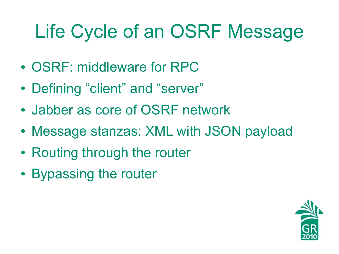# Life Cycle of an OSRF Message

- OSRF: middleware for RPC
- Defining "client" and "server"
- Jabber as core of OSRF network
- Message stanzas: XML with JSON payload
- Routing through the router
- Bypassing the router

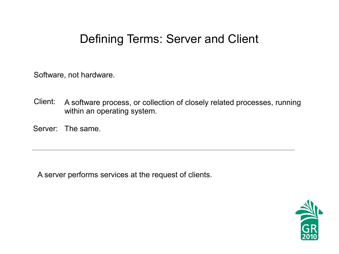#### Defining Terms: Server and Client

Software, not hardware.

- Client: A software process, or collection of closely related processes, running within an operating system.
- Server: The same.

A server performs services at the request of clients.

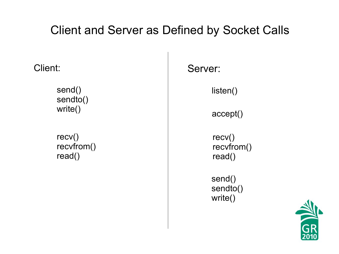#### Client and Server as Defined by Socket Calls

Client:

send() sendto() write()

recv() recvfrom() read()

Server:

listen()

accept()

recv() recvfrom() read()

send() sendto() write()

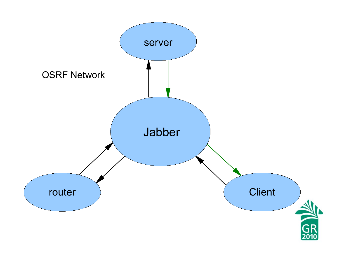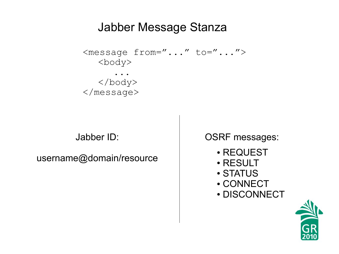#### Jabber Message Stanza

```
<message from="..." to="...">
  <body>
      ...
  </body>
</message>
```
Jabber ID:

username@domain/resource

OSRF messages:

- REQUEST
- RESULT
- STATUS
- CONNECT
- DISCONNECT

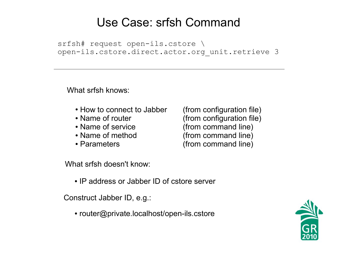#### Use Case: srfsh Command

srfsh# request open-ils.cstore \ open-ils.cstore.direct.actor.org\_unit.retrieve 3

What srfsh knows:

- How to connect to Jabber (from configuration file)
- 
- 
- 
- 

• Name of router (from configuration file) • Name of service (from command line) • Name of method (from command line) • Parameters (from command line)

What srfsh doesn't know:

• IP address or Jabber ID of cstore server

Construct Jabber ID, e.g.:

• router@private.localhost/open-ils.cstore

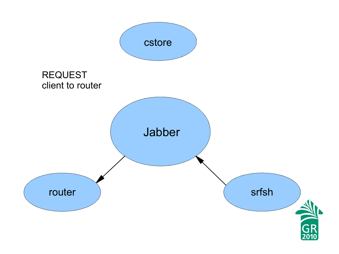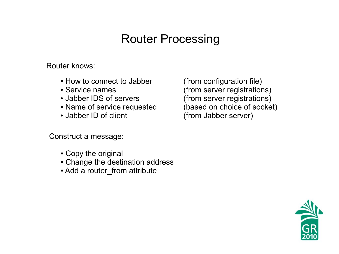### Router Processing

Router knows:

- How to connect to Jabber (from configuration file)
- 
- 
- Name of service requested (based on choice of socket)
- 

Construct a message:

- Copy the original
- Change the destination address
- Add a router\_from attribute

• Service names (from server registrations) • Jabber IDS of servers (from server registrations) • Jabber ID of client (from Jabber server)

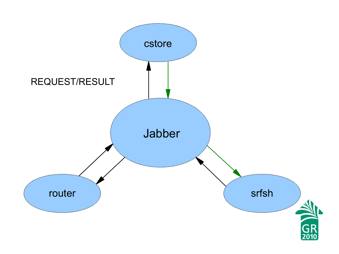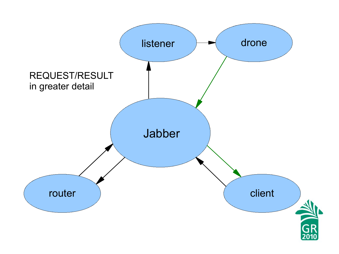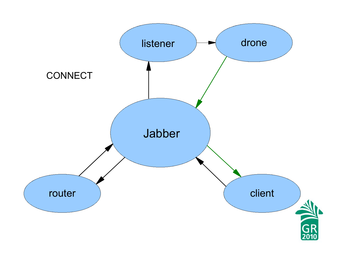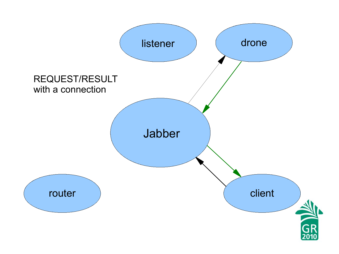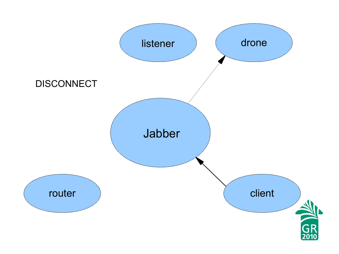